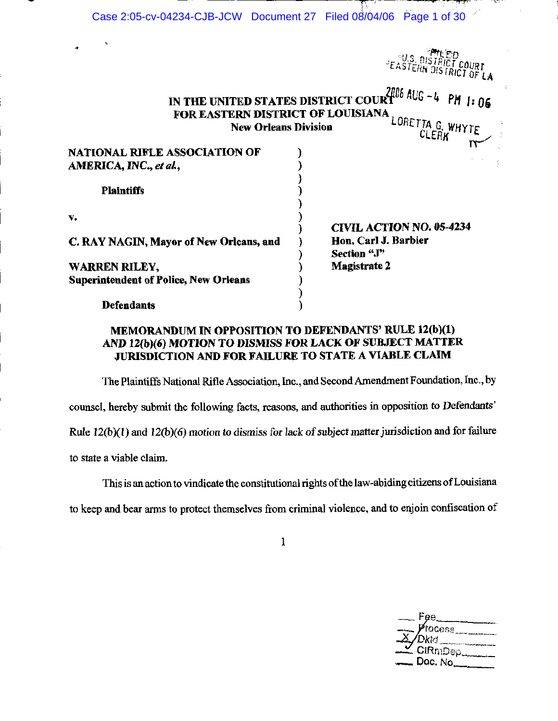| Case 2:05-cv-04234-CJB-JCW Document 27 Filed 08/04/06 Page 1 of 30 |                             |                      |                                                                       |
|--------------------------------------------------------------------|-----------------------------|----------------------|-----------------------------------------------------------------------|
| ۰                                                                  |                             |                      |                                                                       |
|                                                                    |                             |                      |                                                                       |
|                                                                    |                             |                      | <b><i>EASTERN DISTRICT COURT</i></b><br><i>EASTERN DISTRICT OF LA</i> |
|                                                                    |                             |                      | IN THE UNITED STATES DISTRICT COURT $^{2706}$ AUG -4 PM 1: 06         |
| FOR EASTERN DISTRICT OF LOUISIANA                                  |                             |                      |                                                                       |
|                                                                    | <b>New Orleans Division</b> |                      | LORETTA G. WHYTE                                                      |
|                                                                    |                             |                      | <b>CLERK</b>                                                          |
| <b>NATIONAL RIFLE ASSOCIATION OF</b>                               |                             |                      |                                                                       |
| AMERICA, INC., et al.,                                             |                             |                      |                                                                       |
|                                                                    |                             |                      |                                                                       |
| <b>Plaintiffs</b>                                                  |                             |                      |                                                                       |
|                                                                    |                             |                      |                                                                       |
| v.                                                                 |                             |                      |                                                                       |
|                                                                    |                             |                      | <b>CIVIL ACTION NO. 05-4234</b>                                       |
| C. RAY NAGIN, Mayor of New Orleans, and                            |                             | Hon, Carl J. Barbier |                                                                       |
|                                                                    |                             | Section "J"          |                                                                       |
| WARREN RILEY,                                                      |                             | <b>Magistrate 2</b>  |                                                                       |
| <b>Superintendent of Police, New Orleans</b>                       |                             |                      |                                                                       |
|                                                                    |                             |                      |                                                                       |
| <b>Defendants</b>                                                  |                             |                      |                                                                       |

# MEMORANDUM IN OPPOSITION TO DEFENDANTS' RULE 12(b)(1) AND 12(b)(6) MOTION TO DISMISS FOR LACK OF SUBJECT MATTER JURISDICTION AND FOR FAILURE TO STATE A VIABLE CLAIM

The Plaintiffs National Rifle Association, Inc., and Second Amendment Foundation, Inc., by counsel, hereby submit the following facts, reasons, and authorities in opposition to Defendants' Rule  $12(b)(1)$  and  $12(b)(6)$  motion to dismiss for lack of subject matter jurisdiction and for failure to state a viable claim.

This is an action to vindicate the constitutional rights of the law-abiding citizens of Louisiana to keep and bear arms to protect themselves from criminal violence, and to enjoin confiscation of

 $\mathbf{1}$ 

| — Fee__                                    |
|--------------------------------------------|
| $\overline{X}$ <i>process</i>              |
| $\overline{Z}$ $\overline{G(RmDep_{max})}$ |
| __ Dac. No__                               |
|                                            |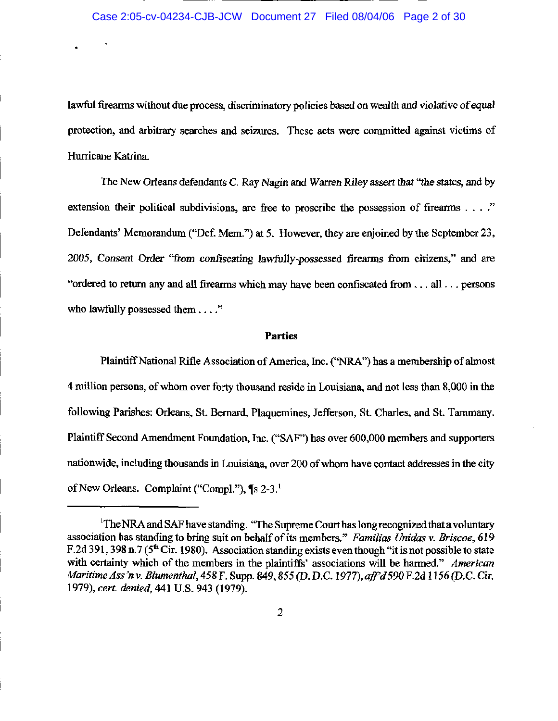lawful firearms without due process, discriminatory policies based on wealth and violative of equal protection, and arbitrary searches and seizures. These acts were committed against victims of Hurricane Katrina.

The New Orleans defendants C. Ray Nagin and Warren Riley assert that "the states, and by extension their political subdivisions, are free to proscribe the possession of firearms  $\dots$ . Defendants' Memorandum ("Def. Mem.") at 5. However, they are enjoined by the September 23, 2005, Consent Order "from confiscating lawfully-possessed firearms from citizens," and are "ordered to return any and all firearms which may have been confiscated from ... all ... persons who lawfully possessed them . . . ."

#### **Parties**

Plaintiff National Rifle Association of America, Inc. ("NRA") has a membership of almost 4 million persons, of whom over forty thousand reside in Louisiana, and not less than 8,000 in the following Parishes: Orleans, St. Bernard, Plaquemines, Jefferson, St. Charles, and St. Tammany. Plaintiff Second Amendment Foundation, Inc. ("SAF") has over 600,000 members and supporters nationwide, including thousands in Louisiana, over 200 of whom have contact addresses in the city of New Orleans. Complaint ("Compl."), ¶s 2-3.<sup>1</sup>

<sup>&</sup>lt;sup>1</sup>The NRA and SAF have standing. "The Supreme Court has long recognized that a voluntary association has standing to bring suit on behalf of its members." Familias Unidas v. Briscoe, 619 F.2d 391, 398 n.7 ( $5<sup>th</sup>$  Cir. 1980). Association standing exists even though "it is not possible to state with certainty which of the members in the plaintiffs' associations will be harmed." American Maritime Ass'n v. Blumenthal, 458 F. Supp. 849, 855 (D. D.C. 1977), aff'd 590 F.2d 1156 (D.C. Cir. 1979), cert. denied, 441 U.S. 943 (1979).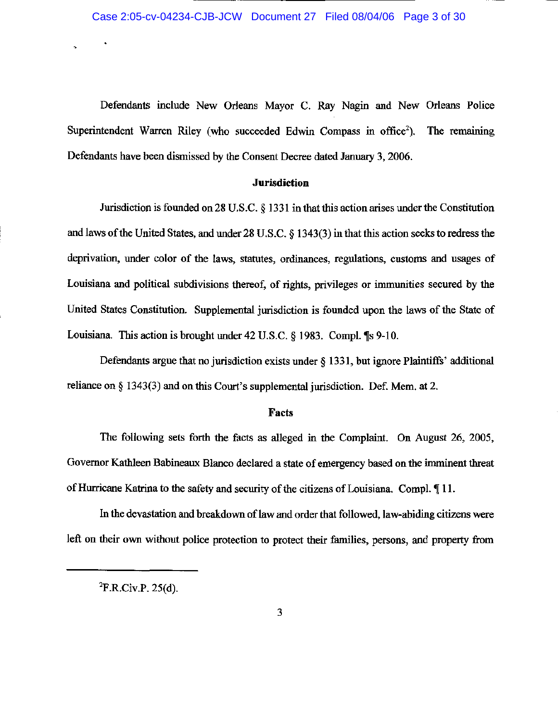Defendants include New Orleans Mayor C. Ray Nagin and New Orleans Police Superintendent Warren Riley (who succeeded Edwin Compass in office<sup>2</sup>). The remaining Defendants have been dismissed by the Consent Decree dated January 3, 2006.

#### **Jurisdiction**

Jurisdiction is founded on 28 U.S.C. § 1331 in that this action arises under the Constitution and laws of the United States, and under 28 U.S.C. § 1343(3) in that this action seeks to redress the deprivation, under color of the laws, statutes, ordinances, regulations, customs and usages of Louisiana and political subdivisions thereof, of rights, privileges or immunities secured by the United States Constitution. Supplemental jurisdiction is founded upon the laws of the State of Louisiana. This action is brought under 42 U.S.C. § 1983. Compl. ¶s 9-10.

Defendants argue that no jurisdiction exists under § 1331, but ignore Plaintiffs' additional reliance on  $\S$  1343(3) and on this Court's supplemental jurisdiction. Def. Mem. at 2.

#### **Facts**

The following sets forth the facts as alleged in the Complaint. On August 26, 2005, Governor Kathleen Babineaux Blanco declared a state of emergency based on the imminent threat of Hurricane Katrina to the safety and security of the citizens of Louisiana. Compl. 11.

In the devastation and breakdown of law and order that followed, law-abiding citizens were left on their own without police protection to protect their families, persons, and property from

 ${}^{2}F.R.Civ.P. 25(d).$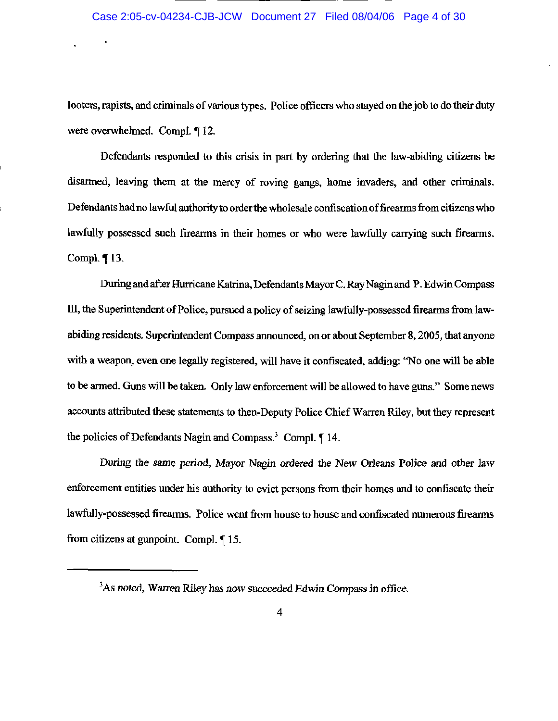### Case 2:05-cv-04234-CJB-JCW Document 27 Filed 08/04/06 Page 4 of 30

looters, rapists, and criminals of various types. Police officers who stayed on the job to do their duty were overwhelmed. Compl. ¶ 12.

Defendants responded to this crisis in part by ordering that the law-abiding citizens be disarmed, leaving them at the mercy of roving gangs, home invaders, and other criminals. Defendants had no lawful authority to order the wholesale confiscation of firearms from citizens who lawfully possessed such firearms in their homes or who were lawfully carrying such firearms. Compl. ¶ 13.

During and after Hurricane Katrina, Defendants Mayor C. Ray Nagin and P. Edwin Compass III, the Superintendent of Police, pursued a policy of seizing lawfully-possessed firearms from lawabiding residents. Superintendent Compass announced, on or about September 8, 2005, that anyone with a weapon, even one legally registered, will have it confiscated, adding: "No one will be able to be armed. Guns will be taken. Only law enforcement will be allowed to have guns." Some news accounts attributed these statements to then-Deputy Police Chief Warren Riley, but they represent the policies of Defendants Nagin and Compass.<sup>3</sup> Compl. ¶ 14.

During the same period, Mayor Nagin ordered the New Orleans Police and other law enforcement entities under his authority to evict persons from their homes and to confiscate their lawfully-possessed firearms. Police went from house to house and confiscated numerous firearms from citizens at gunpoint. Compl.  $\P$  15.

<sup>&</sup>lt;sup>3</sup>As noted, Warren Riley has now succeeded Edwin Compass in office.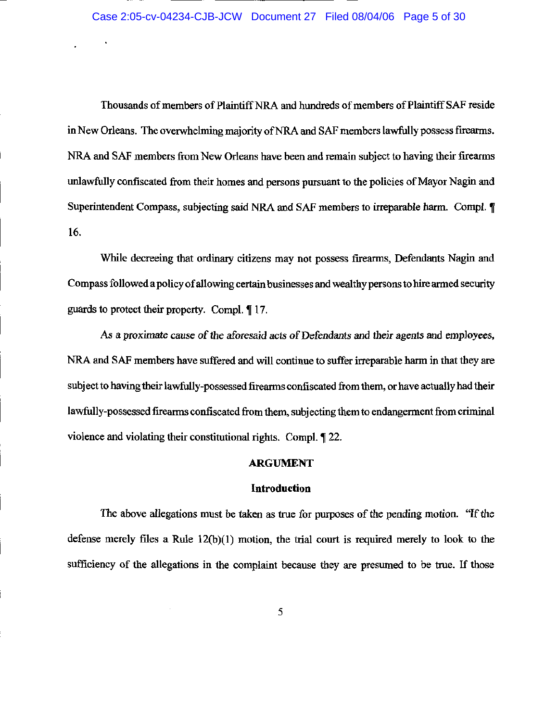Thousands of members of Plaintiff NRA and hundreds of members of Plaintiff SAF reside in New Orleans. The overwhelming majority of NRA and SAF members lawfully possess firearms. NRA and SAF members from New Orleans have been and remain subject to having their firearms unlawfully confiscated from their homes and persons pursuant to the policies of Mayor Nagin and Superintendent Compass, subjecting said NRA and SAF members to irreparable harm. Compl. ¶ 16.

While decreeing that ordinary citizens may not possess firearms, Defendants Nagin and Compass followed a policy of allowing certain businesses and wealthy persons to hire armed security guards to protect their property. Compl. 17.

As a proximate cause of the aforesaid acts of Defendants and their agents and employees, NRA and SAF members have suffered and will continue to suffer irreparable harm in that they are subject to having their lawfully-possessed firearms confiscated from them, or have actually had their lawfully-possessed firearms confiscated from them, subjecting them to endangerment from criminal violence and violating their constitutional rights. Compl. ¶ 22.

### **ARGUMENT**

### **Introduction**

The above allegations must be taken as true for purposes of the pending motion. "If the defense merely files a Rule  $12(b)(1)$  motion, the trial court is required merely to look to the sufficiency of the allegations in the complaint because they are presumed to be true. If those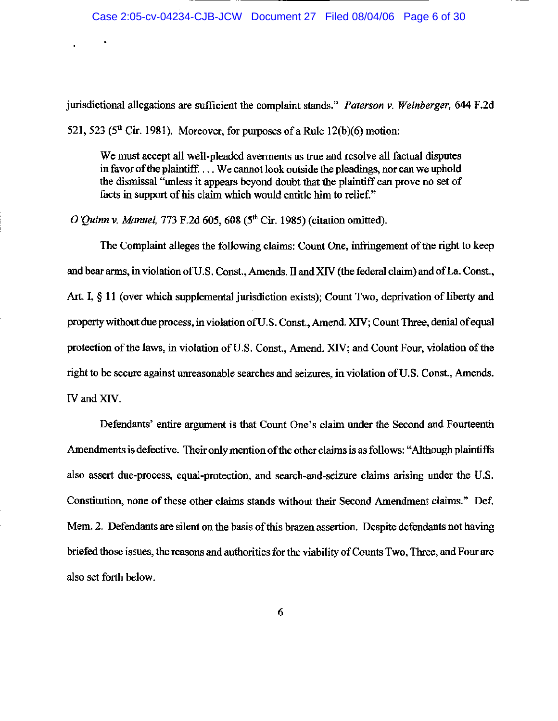jurisdictional allegations are sufficient the complaint stands." Paterson v. Weinberger, 644 F.2d 521, 523 ( $5<sup>th</sup>$  Cir. 1981). Moreover, for purposes of a Rule 12(b)(6) motion:

We must accept all well-pleaded averments as true and resolve all factual disputes in favor of the plaintiff.... We cannot look outside the pleadings, nor can we uphold the dismissal "unless it appears beyond doubt that the plaintiff can prove no set of facts in support of his claim which would entitle him to relief."

O'Quinn v. Manuel, 773 F.2d 605, 608 ( $5<sup>th</sup>$  Cir. 1985) (citation omitted).

The Complaint alleges the following claims: Count One, infringement of the right to keep and bear arms, in violation of U.S. Const., Amends. II and XIV (the federal claim) and of La. Const., Art. I, § 11 (over which supplemental jurisdiction exists); Count Two, deprivation of liberty and property without due process, in violation of U.S. Const., Amend. XIV; Count Three, denial of equal protection of the laws, in violation of U.S. Const., Amend. XIV; and Count Four, violation of the right to be secure against unreasonable searches and seizures, in violation of U.S. Const., Amends. IV and XIV.

Defendants' entire argument is that Count One's claim under the Second and Fourteenth Amendments is defective. Their only mention of the other claims is as follows: "Although plaintiffs" also assert due-process, equal-protection, and search-and-seizure claims arising under the U.S. Constitution, none of these other claims stands without their Second Amendment claims." Def. Mem. 2. Defendants are silent on the basis of this brazen assertion. Despite defendants not having briefed those issues, the reasons and authorities for the viability of Counts Two, Three, and Four are also set forth below.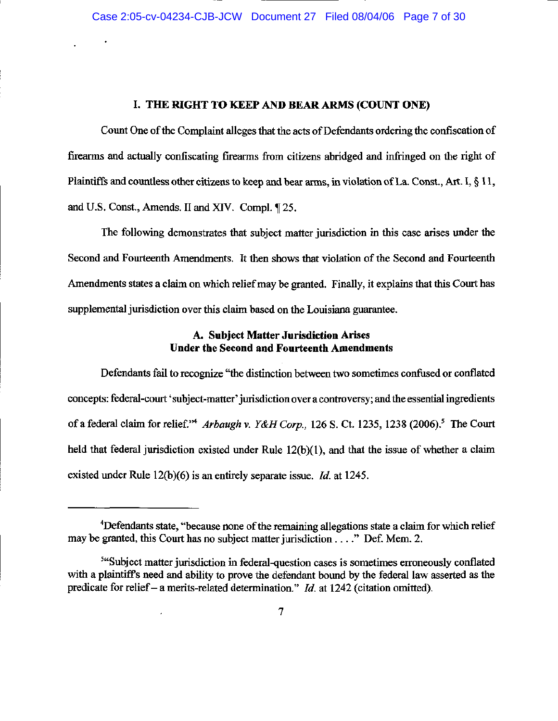### I. THE RIGHT TO KEEP AND BEAR ARMS (COUNT ONE)

Count One of the Complaint alleges that the acts of Defendants ordering the confiscation of firearms and actually confiscating firearms from citizens abridged and infringed on the right of Plaintiffs and countless other citizens to keep and bear arms, in violation of La. Const., Art. I, § 11, and U.S. Const., Amends. II and XIV. Compl. 125.

The following demonstrates that subject matter jurisdiction in this case arises under the Second and Fourteenth Amendments. It then shows that violation of the Second and Fourteenth Amendments states a claim on which relief may be granted. Finally, it explains that this Court has supplemental jurisdiction over this claim based on the Louisiana guarantee.

### A. Subject Matter Jurisdiction Arises **Under the Second and Fourteenth Amendments**

Defendants fail to recognize "the distinction between two sometimes confused or conflated concepts: federal-court 'subject-matter' jurisdiction over a controversy; and the essential ingredients of a federal claim for relief."<sup>4</sup> Arbaugh v. Y&H Corp., 126 S. Ct. 1235, 1238 (2006).<sup>5</sup> The Court held that federal jurisdiction existed under Rule  $12(b)(1)$ , and that the issue of whether a claim existed under Rule  $12(b)(6)$  is an entirely separate issue. *Id.* at 1245.

<sup>&</sup>lt;sup>4</sup>Defendants state, "because none of the remaining allegations state a claim for which relief may be granted, this Court has no subject matter jurisdiction . . . ." Def. Mem. 2.

<sup>&</sup>lt;sup>544</sup>Subject matter jurisdiction in federal-question cases is sometimes erroneously conflated with a plaintiff's need and ability to prove the defendant bound by the federal law asserted as the predicate for relief – a merits-related determination." *Id.* at 1242 (citation omitted).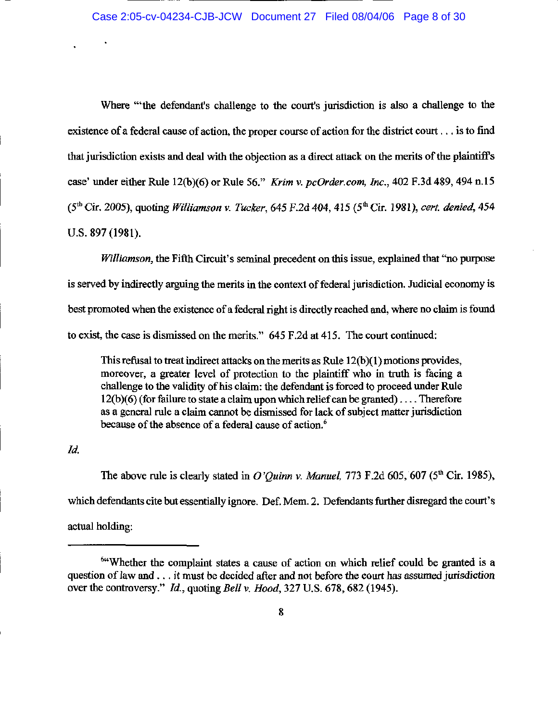Where "the defendant's challenge to the court's jurisdiction is also a challenge to the existence of a federal cause of action, the proper course of action for the district court... is to find that jurisdiction exists and deal with the objection as a direct attack on the merits of the plaintiff's case' under either Rule 12(b)(6) or Rule 56." Krim v. pcOrder.com, Inc., 402 F.3d 489, 494 n.15  $(5^{th}$  Cir. 2005), quoting *Williamson v. Tucker*, 645 F.2d 404, 415 ( $5^{th}$  Cir. 1981), cert. denied, 454 U.S. 897 (1981).

Williamson, the Fifth Circuit's seminal precedent on this issue, explained that "no purpose" is served by indirectly arguing the merits in the context of federal jurisdiction. Judicial economy is best promoted when the existence of a federal right is directly reached and, where no claim is found to exist, the case is dismissed on the merits." 645 F.2d at 415. The court continued:

This refusal to treat indirect attacks on the merits as Rule  $12(b)(1)$  motions provides, moreover, a greater level of protection to the plaintiff who in truth is facing a challenge to the validity of his claim: the defendant is forced to proceed under Rule  $12(b)(6)$  (for failure to state a claim upon which relief can be granted)... Therefore as a general rule a claim cannot be dismissed for lack of subject matter jurisdiction because of the absence of a federal cause of action.<sup>6</sup>

Id.

The above rule is clearly stated in O'Quinn v. Manuel, 773 F.2d 605, 607 ( $5<sup>th</sup>$  Cir. 1985), which defendants cite but essentially ignore. Def. Mem. 2. Defendants further disregard the court's actual holding:

<sup>&</sup>lt;sup>64</sup>Whether the complaint states a cause of action on which relief could be granted is a question of law and . . . it must be decided after and not before the court has assumed jurisdiction over the controversy." *Id.*, quoting *Bell v. Hood*, 327 U.S. 678, 682 (1945).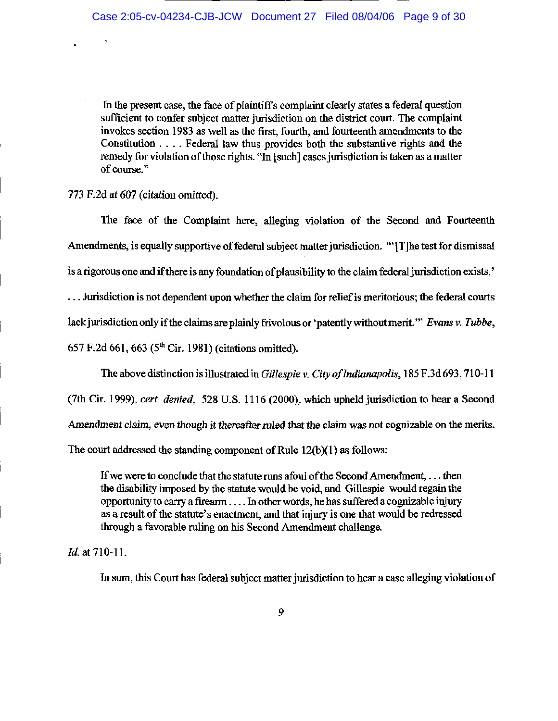In the present case, the face of plaintiff's complaint clearly states a federal question sufficient to confer subject matter jurisdiction on the district court. The complaint invokes section 1983 as well as the first, fourth, and fourteenth amendments to the Constitution . . . . Federal law thus provides both the substantive rights and the remedy for violation of those rights. "In [such] cases jurisdiction is taken as a matter of course."

## 773 F.2d at 607 (citation omitted).

The face of the Complaint here, alleging violation of the Second and Fourteenth Amendments, is equally supportive of federal subject matter jurisdiction. "'[T] he test for dismissal is a rigorous one and if there is any foundation of plausibility to the claim federal jurisdiction exists.'

... Jurisdiction is not dependent upon whether the claim for relief is meritorious; the federal courts

lack jurisdiction only if the claims are plainly frivolous or 'patently without merit." Evans v. Tubbe,

657 F.2d 661, 663 ( $5<sup>th</sup>$  Cir. 1981) (citations omitted).

The above distinction is illustrated in Gillespie v. City of Indianapolis, 185 F.3d 693, 710-11

(7th Cir. 1999), cert. denied, 528 U.S. 1116 (2000), which upheld jurisdiction to hear a Second

Amendment claim, even though it thereafter ruled that the claim was not cognizable on the merits.

The court addressed the standing component of Rule  $12(b)(1)$  as follows:

If we were to conclude that the statute runs afoul of the Second Amendment, ... then the disability imposed by the statute would be void, and Gillespie would regain the opportunity to carry a firearm ... In other words, he has suffered a cognizable injury as a result of the statute's enactment, and that injury is one that would be redressed through a favorable ruling on his Second Amendment challenge.

Id. at 710-11.

In sum, this Court has federal subject matter jurisdiction to hear a case alleging violation of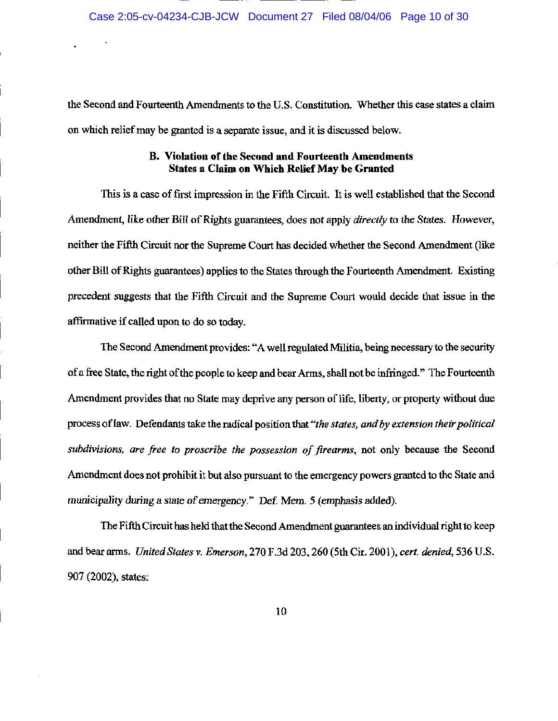the Second and Fourteenth Amendments to the U.S. Constitution. Whether this case states a claim on which relief may be granted is a separate issue, and it is discussed below.

## B. Violation of the Second and Fourteenth Amendments **States a Claim on Which Relief May be Granted**

This is a case of first impression in the Fifth Circuit. It is well established that the Second Amendment, like other Bill of Rights guarantees, does not apply *directly* to the States. However, neither the Fifth Circuit nor the Supreme Court has decided whether the Second Amendment (like other Bill of Rights guarantees) applies to the States through the Fourteenth Amendment. Existing precedent suggests that the Fifth Circuit and the Supreme Court would decide that issue in the affirmative if called upon to do so today.

The Second Amendment provides: "A well regulated Militia, being necessary to the security of a free State, the right of the people to keep and bear Arms, shall not be infringed." The Fourteenth Amendment provides that no State may deprive any person of life, liberty, or property without due process of law. Defendants take the radical position that "the states, and by extension their political subdivisions, are free to proscribe the possession of firearms, not only because the Second Amendment does not prohibit it but also pursuant to the emergency powers granted to the State and municipality during a state of emergency." Def. Mem. 5 (emphasis added).

The Fifth Circuit has held that the Second Amendment guarantees an individual right to keep and bear arms. United States v. Emerson, 270 F.3d 203, 260 (5th Cir. 2001), cert. denied, 536 U.S. 907 (2002), states: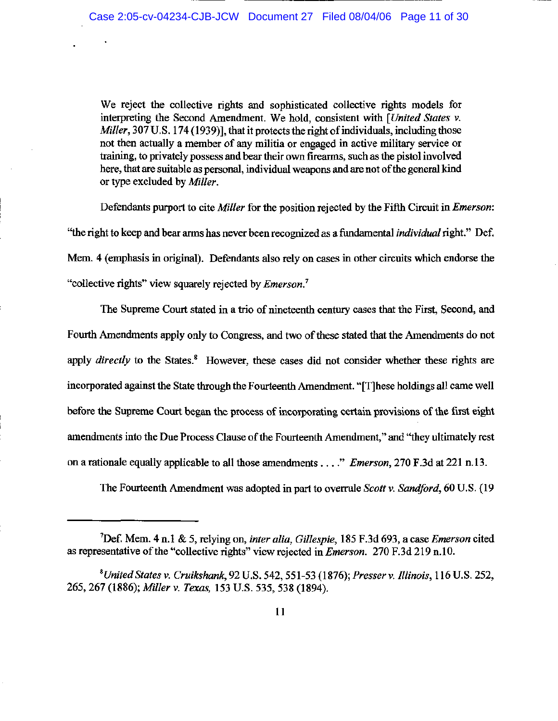We reject the collective rights and sophisticated collective rights models for interpreting the Second Amendment. We hold, consistent with [United States v. Miller, 307 U.S. 174 (1939)], that it protects the right of individuals, including those not then actually a member of any militia or engaged in active military service or training, to privately possess and bear their own firearms, such as the pistol involved here, that are suitable as personal, individual weapons and are not of the general kind or type excluded by Miller.

Defendants purport to cite Miller for the position rejected by the Fifth Circuit in *Emerson*: "the right to keep and bear arms has never been recognized as a fundamental *individual* right." Def. Mem. 4 (emphasis in original). Defendants also rely on cases in other circuits which endorse the "collective rights" view squarely rejected by *Emerson*.<sup>7</sup>

The Supreme Court stated in a trio of nineteenth century cases that the First, Second, and Fourth Amendments apply only to Congress, and two of these stated that the Amendments do not apply *directly* to the States.<sup>8</sup> However, these cases did not consider whether these rights are incorporated against the State through the Fourteenth Amendment. "[T]hese holdings all came well before the Supreme Court began the process of incorporating certain provisions of the first eight amendments into the Due Process Clause of the Fourteenth Amendment," and "they ultimately rest on a rationale equally applicable to all those amendments . . . " *Emerson*, 270 F.3d at 221 n.13.

The Fourteenth Amendment was adopted in part to overrule Scott v. Sandford, 60 U.S. (19

<sup>&</sup>lt;sup>7</sup>Def. Mem. 4 n.1 & 5, relying on, *inter alia*, *Gillespie*, 185 F.3d 693, a case *Emerson* cited as representative of the "collective rights" view rejected in *Emerson*. 270 F.3d 219 n.10.

<sup>&</sup>lt;sup>8</sup>United States v. Cruikshank, 92 U.S. 542, 551-53 (1876); Presser v. Illinois, 116 U.S. 252, 265, 267 (1886); Miller v. Texas, 153 U.S. 535, 538 (1894).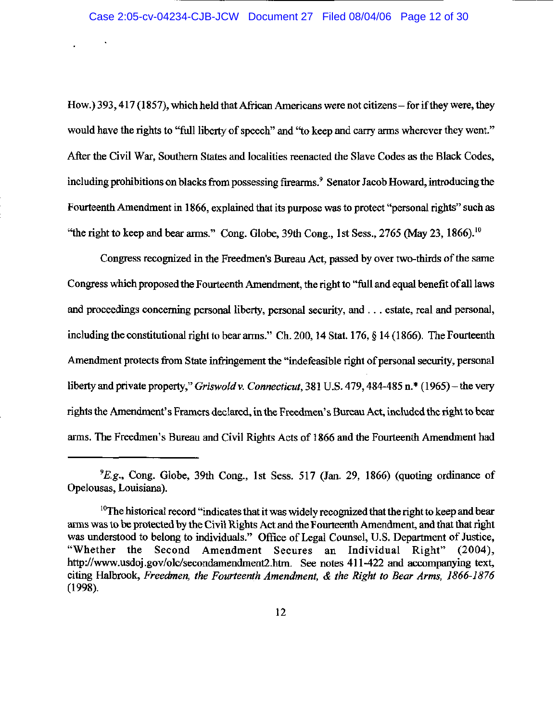How.) 393, 417 (1857), which held that African Americans were not citizens – for if they were, they would have the rights to "full liberty of speech" and "to keep and carry arms wherever they went." After the Civil War, Southern States and localities reenacted the Slave Codes as the Black Codes, including prohibitions on blacks from possessing firearms.<sup>9</sup> Senator Jacob Howard, introducing the Fourteenth Amendment in 1866, explained that its purpose was to protect "personal rights" such as "the right to keep and bear arms." Cong. Globe, 39th Cong., 1st Sess., 2765 (May 23, 1866).<sup>10</sup>

Congress recognized in the Freedmen's Bureau Act, passed by over two-thirds of the same Congress which proposed the Fourteenth Amendment, the right to "full and equal benefit of all laws and proceedings concerning personal liberty, personal security, and ... estate, real and personal, including the constitutional right to bear arms." Ch. 200, 14 Stat. 176, § 14 (1866). The Fourteenth Amendment protects from State infringement the "indefeasible right of personal security, personal liberty and private property," *Griswold v. Connecticut*, 381 U.S. 479, 484-485 n.<sup>\*</sup> (1965) – the very rights the Amendment's Framers declared, in the Freedmen's Bureau Act, included the right to bear arms. The Freedmen's Bureau and Civil Rights Acts of 1866 and the Fourteenth Amendment had

<sup>&</sup>lt;sup>9</sup>E.g., Cong. Globe, 39th Cong., 1st Sess. 517 (Jan. 29, 1866) (quoting ordinance of Opelousas, Louisiana).

<sup>&</sup>lt;sup>10</sup>The historical record "indicates that it was widely recognized that the right to keep and bear arms was to be protected by the Civil Rights Act and the Fourteenth Amendment, and that that right was understood to belong to individuals." Office of Legal Counsel, U.S. Department of Justice, "Whether the Second Amendment Secures an Individual Right" (2004), http://www.usdoj.gov/olc/secondamendment2.htm. See notes 411-422 and accompanying text, citing Halbrook, Freedmen, the Fourteenth Amendment, & the Right to Bear Arms, 1866-1876  $(1998).$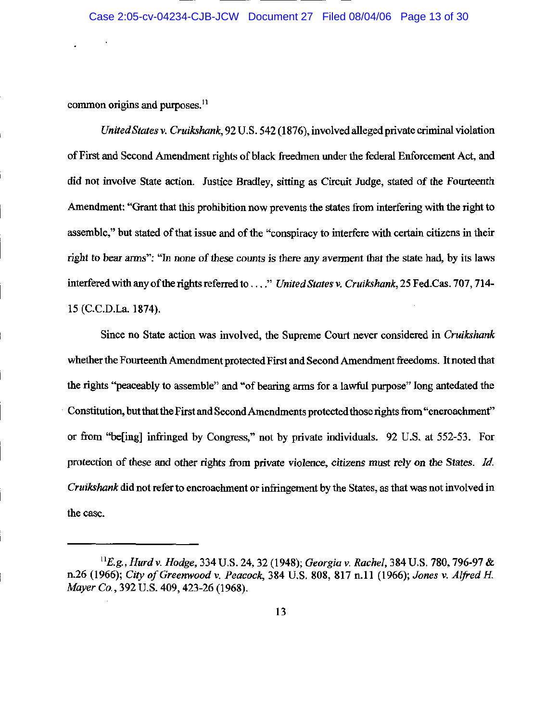common origins and purposes.<sup>11</sup>

United States v. Cruikshank, 92 U.S. 542 (1876), involved alleged private criminal violation of First and Second Amendment rights of black freedmen under the federal Enforcement Act, and did not involve State action. Justice Bradley, sitting as Circuit Judge, stated of the Fourteenth Amendment: "Grant that this prohibition now prevents the states from interfering with the right to assemble," but stated of that issue and of the "conspiracy to interfere with certain citizens in their right to bear arms": "In none of these counts is there any averment that the state had, by its laws interfered with any of the rights referred to ..." United States v. Cruikshank, 25 Fed.Cas. 707, 714-15 (C.C.D.La. 1874).

Since no State action was involved, the Supreme Court never considered in Cruikshank whether the Fourteenth Amendment protected First and Second Amendment freedoms. It noted that the rights "peaceably to assemble" and "of bearing arms for a lawful purpose" long antedated the Constitution, but that the First and Second Amendments protected those rights from "encroachment" or from "be[ing] infringed by Congress," not by private individuals. 92 U.S. at 552-53. For protection of these and other rights from private violence, citizens must rely on the States. Id. Cruikshank did not refer to encroachment or infringement by the States, as that was not involved in the case.

 ${}^{11}E.g., Hurd v. Hodge, 334 U.S. 24, 32 (1948); Georgia v. Rachel, 384 U.S. 780, 796-97 &$ n.26 (1966); City of Greenwood v. Peacock, 384 U.S. 808, 817 n.11 (1966); Jones v. Alfred H. Mayer Co., 392 U.S. 409, 423-26 (1968).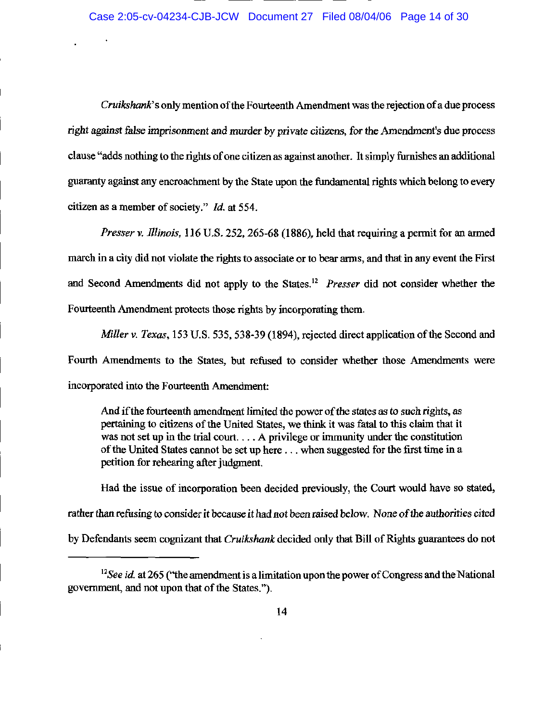Cruikshank's only mention of the Fourteenth Amendment was the rejection of a due process right against false imprisonment and murder by private citizens, for the Amendment's due process clause "adds nothing to the rights of one citizen as against another. It simply furnishes an additional guaranty against any encroachment by the State upon the fundamental rights which belong to every citizen as a member of society." Id. at 554.

Presser v. Illinois, 116 U.S. 252, 265-68 (1886), held that requiring a permit for an armed march in a city did not violate the rights to associate or to bear arms, and that in any event the First and Second Amendments did not apply to the States.<sup>12</sup> Presser did not consider whether the Fourteenth Amendment protects those rights by incorporating them.

Miller v. Texas, 153 U.S. 535, 538-39 (1894), rejected direct application of the Second and Fourth Amendments to the States, but refused to consider whether those Amendments were incorporated into the Fourteenth Amendment:

And if the fourteenth amendment limited the power of the states as to such rights, as pertaining to citizens of the United States, we think it was fatal to this claim that it was not set up in the trial court... A privilege or immunity under the constitution of the United States cannot be set up here ... when suggested for the first time in a petition for rehearing after judgment.

Had the issue of incorporation been decided previously, the Court would have so stated, rather than refusing to consider it because it had not been raised below. None of the authorities cited by Defendants seem cognizant that Cruikshank decided only that Bill of Rights guarantees do not

 $12$ See id. at 265 ("the amendment is a limitation upon the power of Congress and the National government, and not upon that of the States,").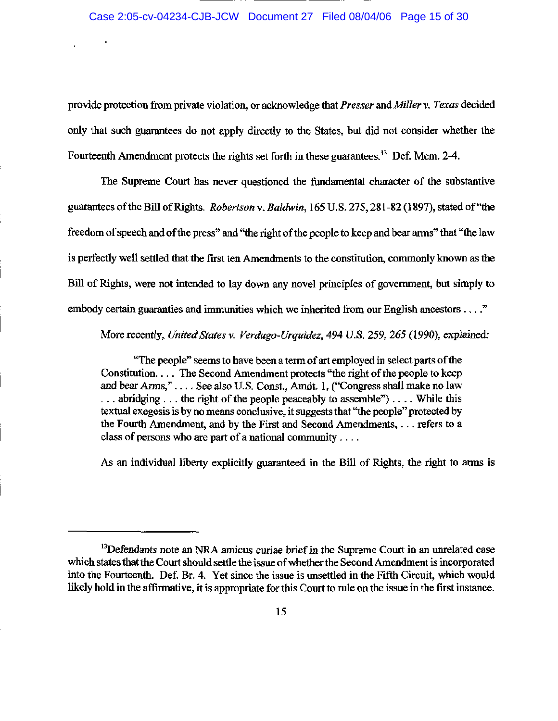provide protection from private violation, or acknowledge that Presser and Miller v. Texas decided only that such guarantees do not apply directly to the States, but did not consider whether the Fourteenth Amendment protects the rights set forth in these guarantees.<sup>13</sup> Def. Mem. 2-4.

The Supreme Court has never questioned the fundamental character of the substantive guarantees of the Bill of Rights. Robertson v. Baldwin, 165 U.S. 275, 281-82 (1897), stated of "the freedom of speech and of the press" and "the right of the people to keep and bear arms" that "the law is perfectly well settled that the first ten Amendments to the constitution, commonly known as the Bill of Rights, were not intended to lay down any novel principles of government, but simply to embody certain guaranties and immunities which we inherited from our English ancestors . . . ."

More recently, United States v. Verdugo-Urquidez, 494 U.S. 259, 265 (1990), explained:

"The people" seems to have been a term of art employed in select parts of the Constitution.... The Second Amendment protects "the right of the people to keep and bear Arms,".... See also U.S. Const., Amdt. 1, ("Congress shall make no law  $\ldots$  abridging  $\ldots$  the right of the people peaceably to assemble")... While this textual exeges is by no means conclusive, it suggests that "the people" protected by the Fourth Amendment, and by the First and Second Amendments, ... refers to a class of persons who are part of a national community  $\dots$ 

As an individual liberty explicitly guaranteed in the Bill of Rights, the right to arms is

<sup>&</sup>lt;sup>13</sup>Defendants note an NRA amicus curiae brief in the Supreme Court in an unrelated case which states that the Court should settle the issue of whether the Second Amendment is incorporated into the Fourteenth. Def. Br. 4. Yet since the issue is unsettled in the Fifth Circuit, which would likely hold in the affirmative, it is appropriate for this Court to rule on the issue in the first instance.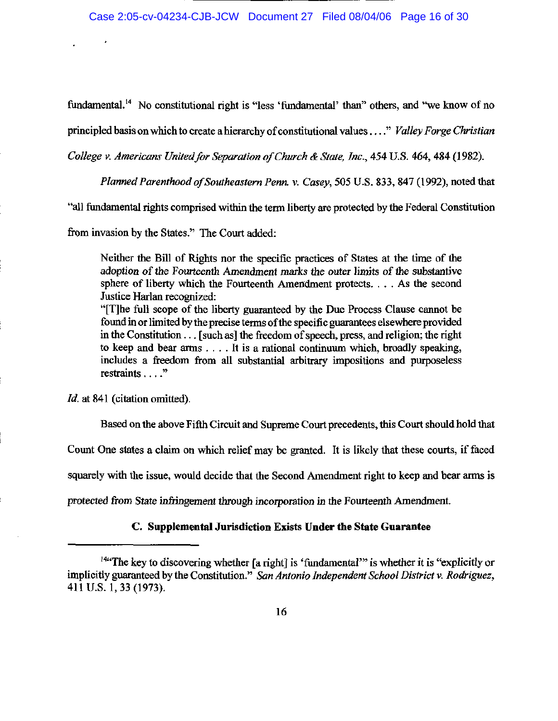fundamental.<sup>14</sup> No constitutional right is "less 'fundamental' than" others, and "we know of no

principled basis on which to create a hierarchy of constitutional values . . . " Valley Forge Christian

College v. Americans United for Separation of Church & State, Inc., 454 U.S. 464, 484 (1982).

Planned Parenthood of Southeastern Penn. v. Casey, 505 U.S. 833, 847 (1992), noted that

"all fundamental rights comprised within the term liberty are protected by the Federal Constitution

from invasion by the States." The Court added:

Neither the Bill of Rights nor the specific practices of States at the time of the adoption of the Fourteenth Amendment marks the outer limits of the substantive sphere of liberty which the Fourteenth Amendment protects. . . . As the second Justice Harlan recognized:

"[T] he full scope of the liberty guaranteed by the Due Process Clause cannot be found in or limited by the precise terms of the specific guarantees elsewhere provided in the Constitution . . . [such as] the freedom of speech, press, and religion; the right to keep and bear arms  $\dots$ . It is a rational continuum which, broadly speaking, includes a freedom from all substantial arbitrary impositions and purposeless restraints  $\ldots$ ."

Id. at 841 (citation omitted).

Based on the above Fifth Circuit and Supreme Court precedents, this Court should hold that

Count One states a claim on which relief may be granted. It is likely that these courts, if faced

squarely with the issue, would decide that the Second Amendment right to keep and bear arms is

protected from State infringement through incorporation in the Fourteenth Amendment.

### C. Supplemental Jurisdiction Exists Under the State Guarantee

<sup>&</sup>lt;sup>1444</sup>The key to discovering whether [a right] is 'fundamental'" is whether it is "explicitly or implicitly guaranteed by the Constitution." San Antonio Independent School District v. Rodriguez, 411 U.S. 1, 33 (1973).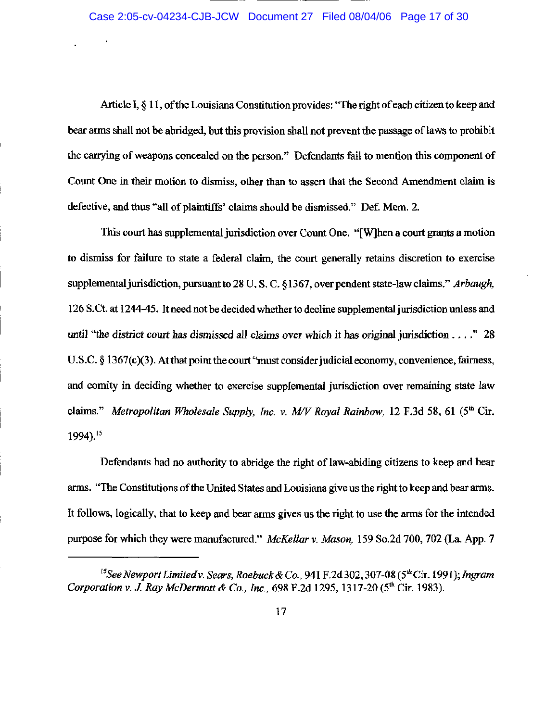Article I, § 11, of the Louisiana Constitution provides: "The right of each citizen to keep and bear arms shall not be abridged, but this provision shall not prevent the passage of laws to prohibit the carrying of weapons concealed on the person." Defendants fail to mention this component of Count One in their motion to dismiss, other than to assert that the Second Amendment claim is defective, and thus "all of plaintiffs' claims should be dismissed." Def. Mem. 2.

This court has supplemental jurisdiction over Count One. "[W] hen a court grants a motion to dismiss for failure to state a federal claim, the court generally retains discretion to exercise supplemental jurisdiction, pursuant to 28 U.S.C. §1367, over pendent state-law claims." Arbaugh, 126 S.Ct. at 1244-45. It need not be decided whether to decline supplemental jurisdiction unless and until "the district court has dismissed all claims over which it has original jurisdiction  $\ldots$ ." 28 U.S.C.  $\S$  1367(c)(3). At that point the court "must consider judicial economy, convenience, fairness, and comity in deciding whether to exercise supplemental jurisdiction over remaining state law claims." Metropolitan Wholesale Supply, Inc. v. M/V Royal Rainbow, 12 F.3d 58, 61 (5<sup>th</sup> Cir. 1994).<sup>15</sup>

Defendants had no authority to abridge the right of law-abiding citizens to keep and bear arms. "The Constitutions of the United States and Louisiana give us the right to keep and bear arms. It follows, logically, that to keep and bear arms gives us the right to use the arms for the intended purpose for which they were manufactured." McKellar v. Mason, 159 So.2d 700, 702 (La. App. 7

<sup>&</sup>lt;sup>15</sup>See Newport Limited v. Sears, Roebuck & Co., 941 F.2d 302, 307-08 (5<sup>th</sup> Cir. 1991); Ingram Corporation v. J. Ray McDermott & Co., Inc., 698 F.2d 1295, 1317-20 (5<sup>th</sup> Cir. 1983).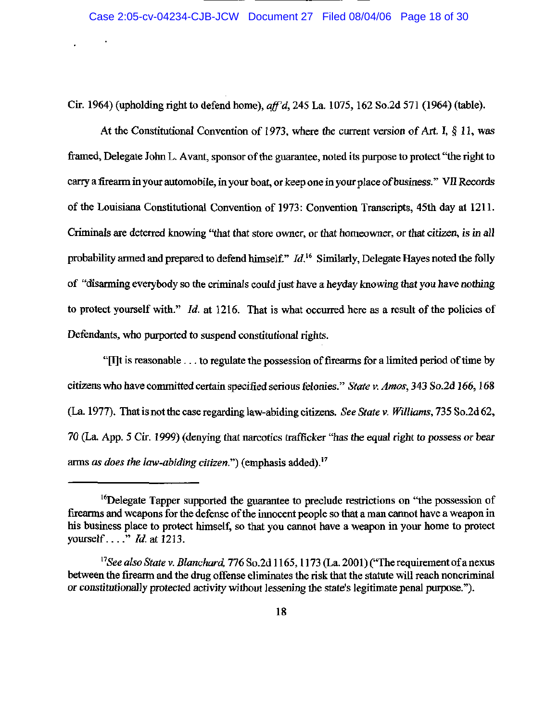Cir. 1964) (upholding right to defend home), aff'd, 245 La. 1075, 162 So.2d 571 (1964) (table).

At the Constitutional Convention of 1973, where the current version of Art. I,  $\S$  11, was framed, Delegate John L. Avant, sponsor of the guarantee, noted its purpose to protect "the right to carry a firearm in your automobile, in your boat, or keep one in your place of business." VII Records of the Louisiana Constitutional Convention of 1973: Convention Transcripts, 45th day at 1211. Criminals are deterred knowing "that that store owner, or that homeowner, or that citizen, is in all probability armed and prepared to defend himself."  $Id$ <sup>16</sup> Similarly, Delegate Hayes noted the folly of "disarming everybody so the criminals could just have a heyday knowing that you have nothing to protect yourself with." *Id.* at 1216. That is what occurred here as a result of the policies of Defendants, who purported to suspend constitutional rights.

"[I] The is reasonable . . . to regulate the possession of firearms for a limited period of time by citizens who have committed certain specified serious felonies." State v. Amos, 343 So.2d 166, 168 (La. 1977). That is not the case regarding law-abiding citizens. See State v. Williams, 735 So.2d 62, 70 (La. App. 5 Cir. 1999) (denying that narcotics trafficker "has the equal right to possess or bear arms as does the law-abiding citizen.") (emphasis added).<sup>17</sup>

<sup>&</sup>lt;sup>16</sup>Delegate Tapper supported the guarantee to preclude restrictions on "the possession of firearms and weapons for the defense of the innocent people so that a man cannot have a weapon in his business place to protect himself, so that you cannot have a weapon in your home to protect yourself...."  $Id.$  at 1213.

<sup>&</sup>lt;sup>17</sup>See also State v. Blanchard, 776 So.2d 1165, 1173 (La. 2001) ("The requirement of a nexus between the firearm and the drug offense eliminates the risk that the statute will reach noncriminal or constitutionally protected activity without lessening the state's legitimate penal purpose.").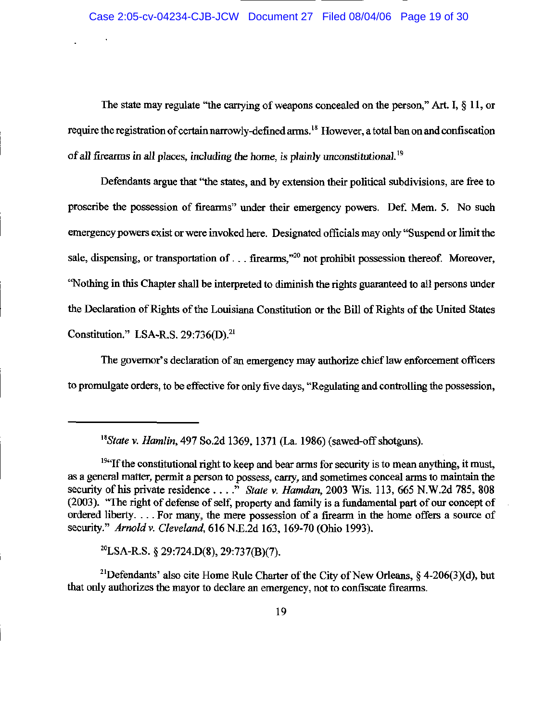The state may regulate "the carrying of weapons concealed on the person," Art. I,  $\S 11$ , or require the registration of certain narrowly-defined arms.<sup>18</sup> However, a total ban on and confiscation of all firearms in all places, including the home, is plainly unconstitutional.<sup>19</sup>

Defendants argue that "the states, and by extension their political subdivisions, are free to proscribe the possession of firearms" under their emergency powers. Def. Mem. 5. No such emergency powers exist or were invoked here. Designated officials may only "Suspend or limit the sale, dispensing, or transportation of . . . firearms,"<sup>20</sup> not prohibit possession thereof. Moreover, "Nothing in this Chapter shall be interpreted to diminish the rights guaranteed to all persons under the Declaration of Rights of the Louisiana Constitution or the Bill of Rights of the United States Constitution." LSA-R.S. 29:736(D).<sup>21</sup>

The governor's declaration of an emergency may authorize chief law enforcement officers to promulgate orders, to be effective for only five days, "Regulating and controlling the possession,

<sup>20</sup>LSA-R.S. § 29:724.D(8), 29:737(B)(7).

<sup>21</sup>Defendants' also cite Home Rule Charter of the City of New Orleans, § 4-206(3)(d), but that only authorizes the mayor to declare an emergency, not to confiscate firearms.

<sup>&</sup>lt;sup>18</sup>State v. Hamlin, 497 So.2d 1369, 1371 (La. 1986) (sawed-off shotguns).

<sup>&</sup>lt;sup>194</sup> If the constitutional right to keep and bear arms for security is to mean anything, it must, as a general matter, permit a person to possess, carry, and sometimes conceal arms to maintain the security of his private residence . . . ." State v. Hamdan, 2003 Wis. 113, 665 N.W.2d 785, 808 (2003). "The right of defense of self, property and family is a fundamental part of our concept of ordered liberty.... For many, the mere possession of a firearm in the home offers a source of security." Arnold v. Cleveland, 616 N.E.2d 163, 169-70 (Ohio 1993).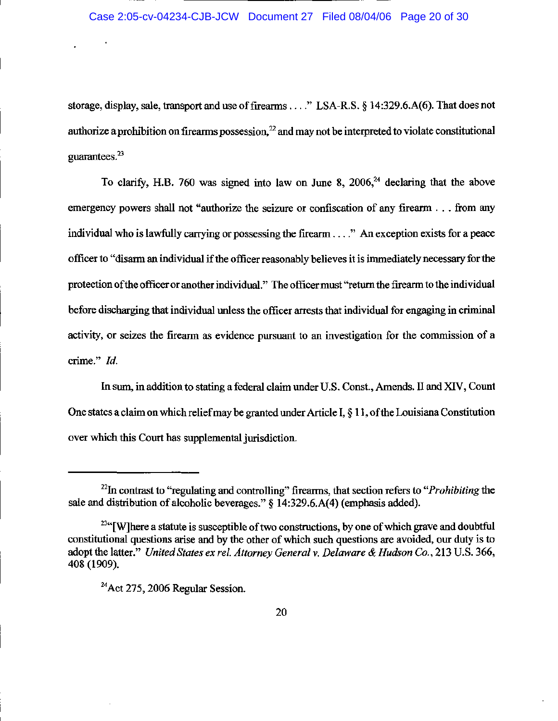storage, display, sale, transport and use of firearms . . . . " LSA-R.S. § 14:329.6.A(6). That does not authorize a prohibition on firearms possession,  $22$  and may not be interpreted to violate constitutional guarantees. $23$ 

To clarify, H.B. 760 was signed into law on June 8, 2006,  $24$  declaring that the above emergency powers shall not "authorize the seizure or confiscation of any firearm . . . from any individual who is lawfully carrying or possessing the firearm . . . ." An exception exists for a peace officer to "disarm an individual if the officer reasonably believes it is immediately necessary for the protection of the officer or another individual." The officer must "return the firearm to the individual before discharging that individual unless the officer arrests that individual for engaging in criminal activity, or seizes the firearm as evidence pursuant to an investigation for the commission of a crime." Id.

In sum, in addition to stating a federal claim under U.S. Const., Amends. II and XIV, Count One states a claim on which relief may be granted under Article I, § 11, of the Louisiana Constitution over which this Court has supplemental jurisdiction.

<sup>&</sup>lt;sup>22</sup>In contrast to "regulating and controlling" firearms, that section refers to "*Prohibiting* the sale and distribution of alcoholic beverages." § 14:329.6.A(4) (emphasis added).

<sup>&</sup>lt;sup>23</sup>"[W] here a statute is susceptible of two constructions, by one of which grave and doubtful constitutional questions arise and by the other of which such questions are avoided, our duty is to adopt the latter." United States ex rel. Attorney General v. Delaware & Hudson Co., 213 U.S. 366, 408 (1909).

 $^{24}$ Act 275, 2006 Regular Session.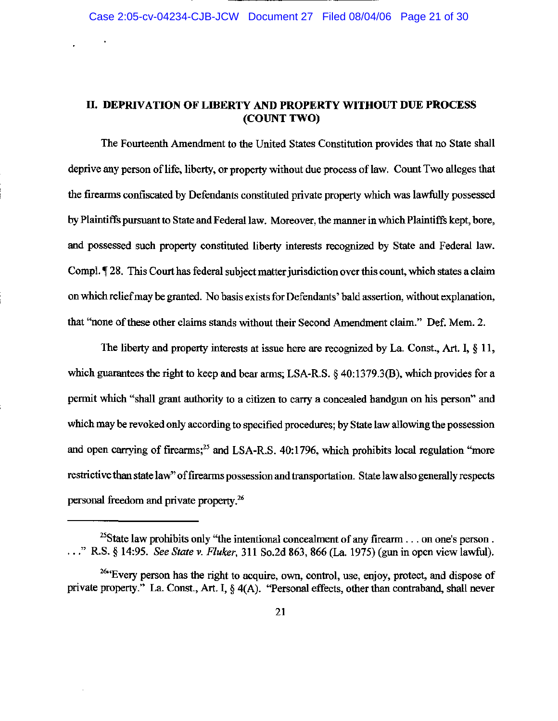# II. DEPRIVATION OF LIBERTY AND PROPERTY WITHOUT DUE PROCESS (COUNT TWO)

The Fourteenth Amendment to the United States Constitution provides that no State shall deprive any person of life, liberty, or property without due process of law. Count Two alleges that the firearms confiscated by Defendants constituted private property which was lawfully possessed by Plaintiffs pursuant to State and Federal law. Moreover, the manner in which Plaintiffs kept, bore, and possessed such property constituted liberty interests recognized by State and Federal law. Compl. 128. This Court has federal subject matter jurisdiction over this count, which states a claim on which relief may be granted. No basis exists for Defendants' bald assertion, without explanation, that "none of these other claims stands without their Second Amendment claim." Def. Mem. 2.

The liberty and property interests at issue here are recognized by La. Const., Art. I,  $\S$  11, which guarantees the right to keep and bear arms; LSA-R.S. § 40:1379.3(B), which provides for a permit which "shall grant authority to a citizen to carry a concealed handgun on his person" and which may be revoked only according to specified procedures; by State law allowing the possession and open carrying of firearms;<sup>25</sup> and LSA-R.S. 40:1796, which prohibits local regulation "more restrictive than state law" of firearms possession and transportation. State law also generally respects personal freedom and private property.<sup>26</sup>

<sup>&</sup>lt;sup>25</sup>State law prohibits only "the intentional concealment of any firearm . . . on one's person. ..." R.S. § 14:95. See State v. Fluker, 311 So.2d 863, 866 (La. 1975) (gun in open view lawful).

<sup>&</sup>lt;sup>26</sup>"Every person has the right to acquire, own, control, use, enjoy, protect, and dispose of private property." La. Const., Art. I, § 4(A). "Personal effects, other than contraband, shall never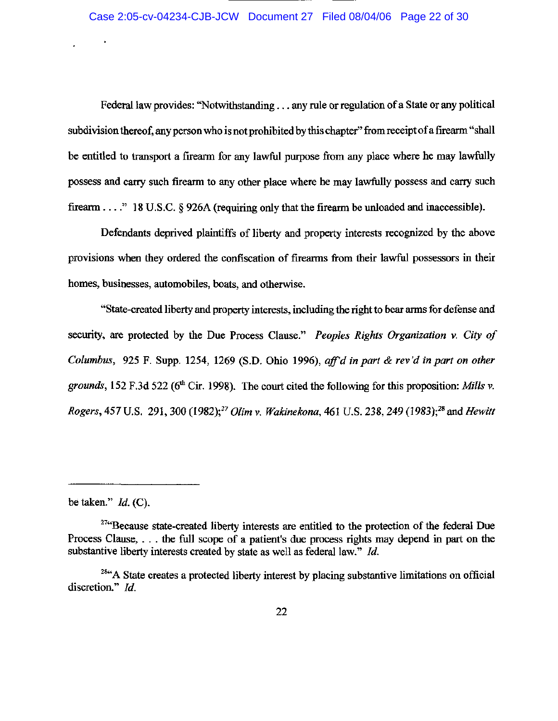Federal law provides: "Notwithstanding . . . any rule or regulation of a State or any political subdivision thereof, any person who is not prohibited by this chapter" from receipt of a firearm "shall be entitled to transport a firearm for any lawful purpose from any place where he may lawfully possess and carry such firearm to any other place where he may lawfully possess and carry such firearm . . . . " 18 U.S.C. § 926A (requiring only that the firearm be unloaded and inaccessible).

Defendants deprived plaintiffs of liberty and property interests recognized by the above provisions when they ordered the confiscation of firearms from their lawful possessors in their homes, businesses, automobiles, boats, and otherwise.

"State-created liberty and property interests, including the right to bear arms for defense and security, are protected by the Due Process Clause." Peoples Rights Organization v. City of Columbus, 925 F. Supp. 1254, 1269 (S.D. Ohio 1996), aff'd in part & rev'd in part on other grounds, 152 F.3d 522 (6<sup>th</sup> Cir. 1998). The court cited the following for this proposition: Mills v. Rogers, 457 U.S. 291, 300 (1982);<sup>27</sup> Olim v. Wakinekona, 461 U.S. 238, 249 (1983);<sup>28</sup> and Hewitt

be taken."  $Id.$  (C).

<sup>&</sup>lt;sup>274</sup>Because state-created liberty interests are entitled to the protection of the federal Due Process Clause, ... the full scope of a patient's due process rights may depend in part on the substantive liberty interests created by state as well as federal law." Id.

<sup>&</sup>lt;sup>284</sup>A State creates a protected liberty interest by placing substantive limitations on official discretion." Id.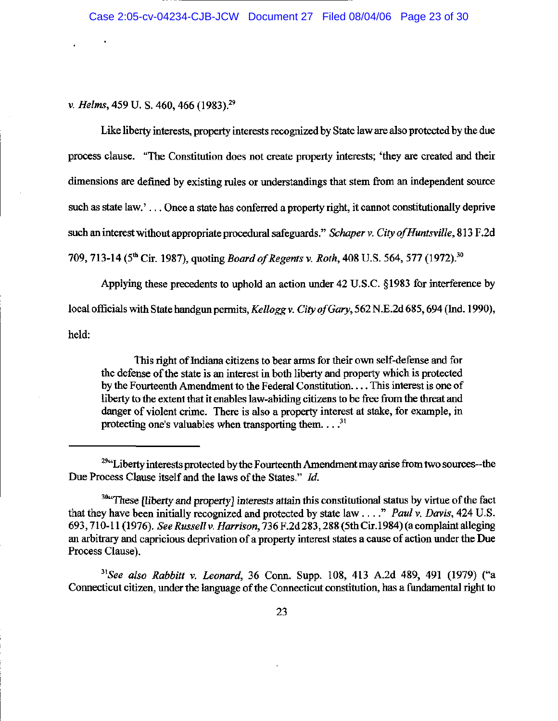v. Helms, 459 U. S. 460, 466 (1983).<sup>29</sup>

Like liberty interests, property interests recognized by State law are also protected by the due process clause. "The Constitution does not create property interests; 'they are created and their dimensions are defined by existing rules or understandings that stem from an independent source such as state law.'... Once a state has conferred a property right, it cannot constitutionally deprive such an interest without appropriate procedural safeguards." Schaper v. City of Huntsville, 813 F.2d 709, 713-14 (5<sup>th</sup> Cir. 1987), quoting *Board of Regents v. Roth*, 408 U.S. 564, 577 (1972).<sup>30</sup>

Applying these precedents to uphold an action under 42 U.S.C. §1983 for interference by local officials with State handgun permits, Kellogg v. City of Gary, 562 N.E.2d 685, 694 (Ind. 1990), held:

This right of Indiana citizens to bear arms for their own self-defense and for the defense of the state is an interest in both liberty and property which is protected by the Fourteenth Amendment to the Federal Constitution.... This interest is one of liberty to the extent that it enables law-abiding citizens to be free from the threat and danger of violent crime. There is also a property interest at stake, for example, in protecting one's valuables when transporting them.  $\ldots$ <sup>31</sup>

<sup>31</sup>See also Rabbitt v. Leonard, 36 Conn. Supp. 108, 413 A.2d 489, 491 (1979) ("a Connecticut citizen, under the language of the Connecticut constitution, has a fundamental right to

<sup>&</sup>lt;sup>29</sup>"Liberty interests protected by the Fourteenth Amendment may arise from two sources--the Due Process Clause itself and the laws of the States." Id.

<sup>&</sup>lt;sup>304</sup>These *[liberty and property]* interests attain this constitutional status by virtue of the fact that they have been initially recognized and protected by state law . . . ." Paul v. Davis, 424 U.S. 693, 710-11 (1976). See Russell v. Harrison, 736 F.2d 283, 288 (5th Cir.1984) (a complaint alleging an arbitrary and capricious deprivation of a property interest states a cause of action under the Due Process Clause).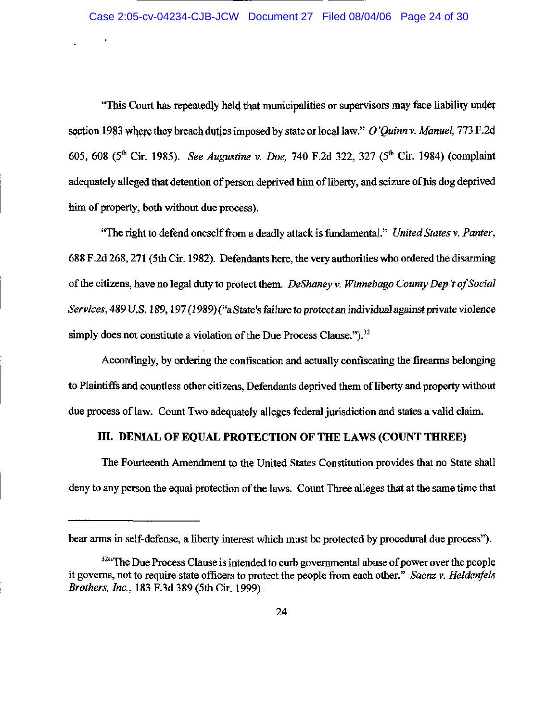"This Court has repeatedly held that municipalities or supervisors may face liability under section 1983 where they breach duties imposed by state or local law." O'Quinn v. Manuel, 773 F.2d 605, 608 (5<sup>th</sup> Cir. 1985). See Augustine v. Doe. 740 F.2d 322, 327 (5<sup>th</sup> Cir. 1984) (complaint adequately alleged that detention of person deprived him of liberty, and seizure of his dog deprived him of property, both without due process).

"The right to defend oneself from a deadly attack is fundamental." United States v. Panter, 688 F.2d 268, 271 (5th Cir. 1982). Defendants here, the very authorities who ordered the disarming of the citizens, have no legal duty to protect them. DeShaney v. Winnebago County Dep't of Social Services, 489 U.S. 189, 197 (1989) ("a State's failure to protect an individual against private violence simply does not constitute a violation of the Due Process Clause.").<sup>32</sup>

Accordingly, by ordering the confiscation and actually confiscating the firearms belonging to Plaintiffs and countless other citizens, Defendants deprived them of liberty and property without due process of law. Count Two adequately alleges federal jurisdiction and states a valid claim.

# III. DENIAL OF EQUAL PROTECTION OF THE LAWS (COUNT THREE)

The Fourteenth Amendment to the United States Constitution provides that no State shall deny to any person the equal protection of the laws. Count Three alleges that at the same time that

bear arms in self-defense, a liberty interest which must be protected by procedural due process").

<sup>&</sup>lt;sup>324</sup>The Due Process Clause is intended to curb governmental abuse of power over the people it governs, not to require state officers to protect the people from each other." Saenz v. Heldenfels Brothers, Inc., 183 F.3d 389 (5th Cir. 1999).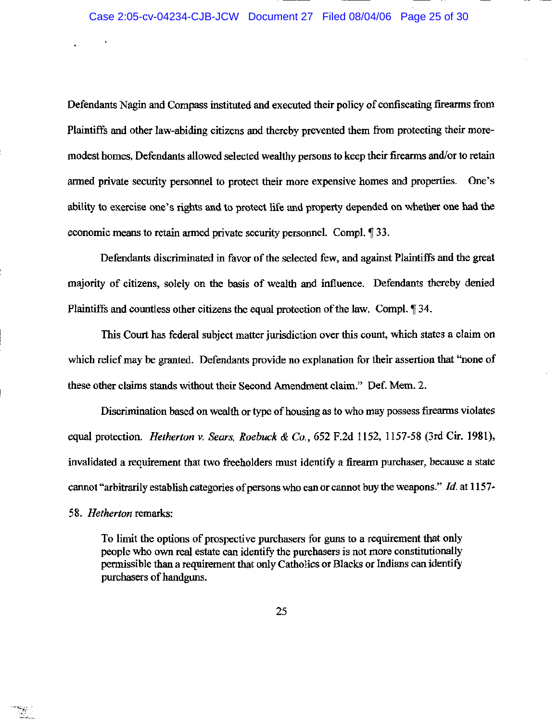Defendants Nagin and Compass instituted and executed their policy of confiscating firearms from Plaintiffs and other law-abiding citizens and thereby prevented them from protecting their moremodest homes, Defendants allowed selected wealthy persons to keep their firearms and/or to retain armed private security personnel to protect their more expensive homes and properties. One's ability to exercise one's rights and to protect life and property depended on whether one had the economic means to retain armed private security personnel. Compl. 133.

Defendants discriminated in favor of the selected few, and against Plaintiffs and the great majority of citizens, solely on the basis of wealth and influence. Defendants thereby denied Plaintiffs and countless other citizens the equal protection of the law. Compl. 134.

This Court has federal subject matter jurisdiction over this count, which states a claim on which relief may be granted. Defendants provide no explanation for their assertion that "none of these other claims stands without their Second Amendment claim." Def. Mem. 2.

Discrimination based on wealth or type of housing as to who may possess firearms violates equal protection. Hetherton v. Sears, Roebuck & Co., 652 F.2d 1152, 1157-58 (3rd Cir. 1981), invalidated a requirement that two freeholders must identify a firearm purchaser, because a state cannot "arbitrarily establish categories of persons who can or cannot buy the weapons." Id. at 1157-

58. Hetherton remarks:

To limit the options of prospective purchasers for guns to a requirement that only people who own real estate can identify the purchasers is not more constitutionally permissible than a requirement that only Catholics or Blacks or Indians can identify purchasers of handguns.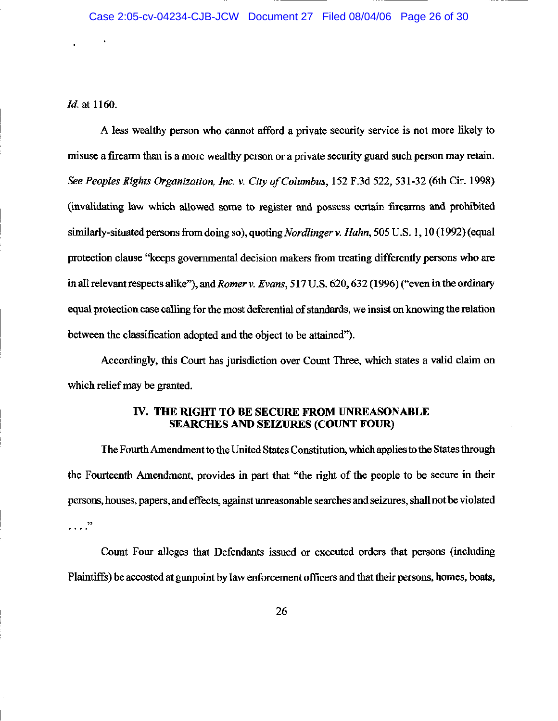*Id.* at 1160.

A less wealthy person who cannot afford a private security service is not more likely to misuse a firearm than is a more wealthy person or a private security guard such person may retain. See Peoples Rights Organization, Inc. v. City of Columbus, 152 F.3d 522, 531-32 (6th Cir. 1998) (invalidating law which allowed some to register and possess certain firearms and prohibited similarly-situated persons from doing so), quoting *Nordlinger v. Hahn*, 505 U.S. 1, 10 (1992) (equal protection clause "keeps governmental decision makers from treating differently persons who are in all relevant respects alike"), and *Romer v. Evans*, 517 U.S. 620, 632 (1996) ("even in the ordinary equal protection case calling for the most deferential of standards, we insist on knowing the relation between the classification adopted and the object to be attained").

Accordingly, this Court has jurisdiction over Count Three, which states a valid claim on which relief may be granted.

### IV. THE RIGHT TO BE SECURE FROM UNREASONABLE **SEARCHES AND SEIZURES (COUNT FOUR)**

The Fourth Amendment to the United States Constitution, which applies to the States through the Fourteenth Amendment, provides in part that "the right of the people to be secure in their persons, houses, papers, and effects, against unreasonable searches and seizures, shall not be violated  $\cdots$   $\cdots$ 

Count Four alleges that Defendants issued or executed orders that persons (including Plaintiffs) be accosted at gunpoint by law enforcement officers and that their persons, homes, boats,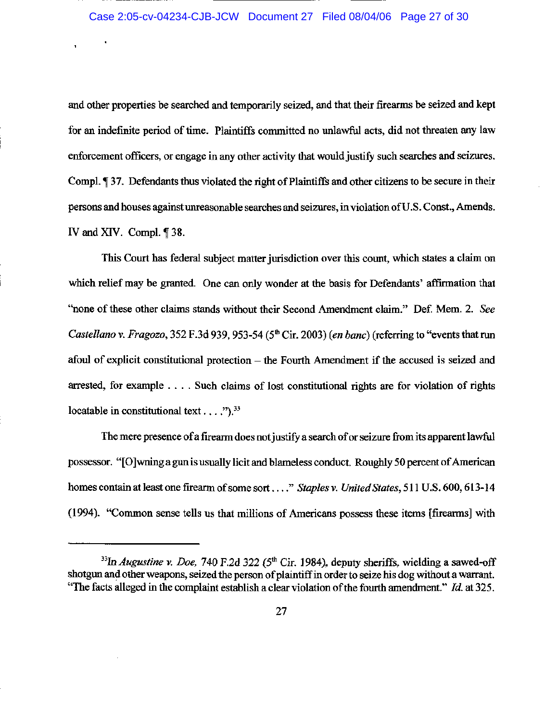### Case 2:05-cv-04234-CJB-JCW Document 27 Filed 08/04/06 Page 27 of 30

and other properties be searched and temporarily seized, and that their firearms be seized and kept for an indefinite period of time. Plaintiffs committed no unlawful acts, did not threaten any law enforcement officers, or engage in any other activity that would justify such searches and seizures. Compl. ¶ 37. Defendants thus violated the right of Plaintiffs and other citizens to be secure in their persons and houses against unreasonable searches and seizures, in violation of U.S. Const., Amends. IV and XIV. Compl. ¶ 38.

This Court has federal subject matter jurisdiction over this count, which states a claim on which relief may be granted. One can only wonder at the basis for Defendants' affirmation that "none of these other claims stands without their Second Amendment claim." Def. Mem. 2. See Castellano v. Fragozo, 352 F.3d 939, 953-54 (5<sup>th</sup> Cir. 2003) (en banc) (referring to "events that run afoul of explicit constitutional protection - the Fourth Amendment if the accused is seized and arrested, for example . . . . Such claims of lost constitutional rights are for violation of rights locatable in constitutional text . . . .").  $33$ 

The mere presence of a firearm does not justify a search of or seizure from its apparent lawful possessor. "[O] wning a gun is usually licit and blameless conduct. Roughly 50 percent of American homes contain at least one firearm of some sort ...." Staples v. United States, 511 U.S. 600, 613-14 (1994). "Common sense tells us that millions of Americans possess these items [firearms] with

<sup>&</sup>lt;sup>33</sup>In Augustine v. Doe, 740 F.2d 322 (5<sup>th</sup> Cir. 1984), deputy sheriffs, wielding a sawed-off shotgun and other weapons, seized the person of plaintiff in order to seize his dog without a warrant. "The facts alleged in the complaint establish a clear violation of the fourth amendment." Id. at 325.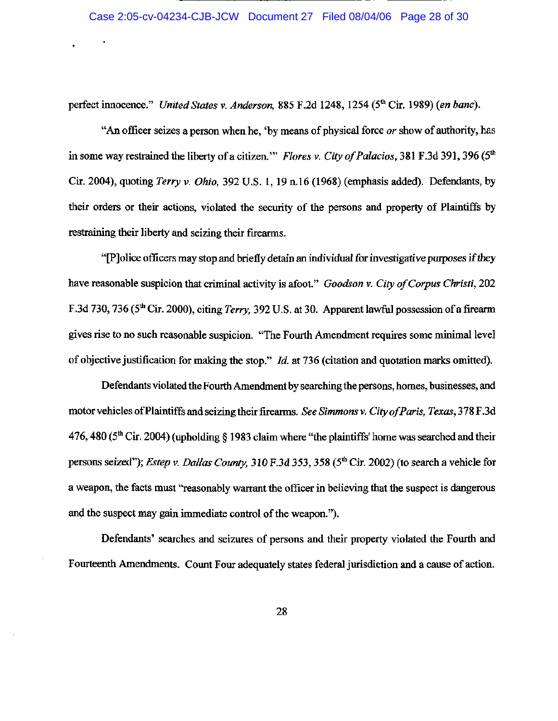perfect innocence." United States v. Anderson, 885 F.2d 1248, 1254 (5<sup>th</sup> Cir. 1989) (en banc).

"An officer seizes a person when he, 'by means of physical force or show of authority, has in some way restrained the liberty of a citizen." Flores v. City of Palacios, 381 F.3d 391, 396 (5<sup>th</sup>) Cir. 2004), quoting Terry v. Ohio, 392 U.S. 1, 19 n.16 (1968) (emphasis added). Defendants, by their orders or their actions, violated the security of the persons and property of Plaintiffs by restraining their liberty and seizing their firearms.

"[P]olice officers may stop and briefly detain an individual for investigative purposes if they have reasonable suspicion that criminal activity is afoot." Goodson v. City of Corpus Christi, 202 F.3d 730, 736 (5<sup>th</sup> Cir. 2000), citing Terry, 392 U.S. at 30. Apparent lawful possession of a firearm gives rise to no such reasonable suspicion. "The Fourth Amendment requires some minimal level of objective justification for making the stop."  $Id$ . at 736 (citation and quotation marks omitted).

Defendants violated the Fourth Amendment by searching the persons, homes, businesses, and motor vehicles of Plaintiffs and seizing their firearms. See Simmons v. City of Paris, Texas, 378 F.3d 476, 480 ( $5<sup>th</sup>$  Cir. 2004) (upholding § 1983 claim where "the plaintiffs" home was searched and their persons seized"); Estep v. Dallas County, 310 F.3d 353, 358 (5<sup>th</sup> Cir. 2002) (to search a vehicle for a weapon, the facts must "reasonably warrant the officer in believing that the suspect is dangerous and the suspect may gain immediate control of the weapon.").

Defendants' searches and seizures of persons and their property violated the Fourth and Fourteenth Amendments. Count Four adequately states federal jurisdiction and a cause of action.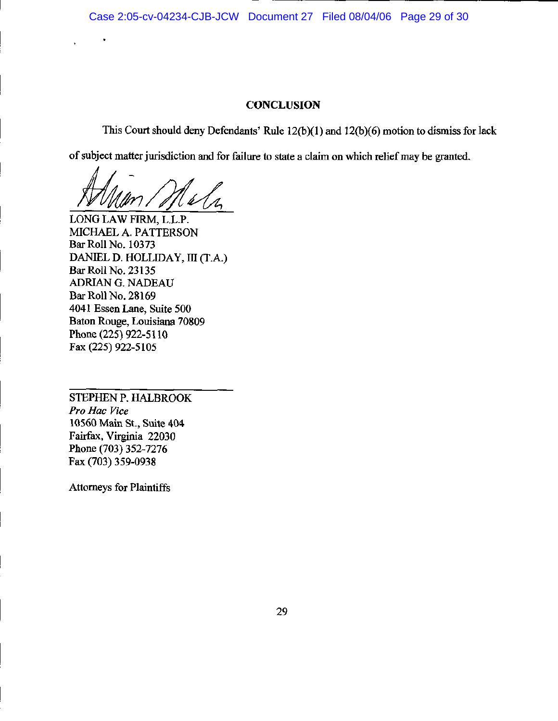## **CONCLUSION**

This Court should deny Defendants' Rule 12(b)(1) and 12(b)(6) motion to dismiss for lack

of subject matter jurisdiction and for failure to state a claim on which relief may be granted.

LONG LAW FIRM, L.L.P. MICHAEL A. PATTERSON Bar Roll No. 10373 DANIEL D. HOLLIDAY, III (T.A.) Bar Roll No. 23135 ADRIAN G. NADEAU Bar Roll No. 28169 4041 Essen Lane, Suite 500 Baton Rouge, Louisiana 70809 Phone (225) 922-5110 Fax (225) 922-5105

STEPHEN P. HALBROOK Pro Hac Vice 10560 Main St., Suite 404 Fairfax, Virginia 22030 Phone (703) 352-7276 Fax (703) 359-0938

**Attorneys for Plaintiffs**